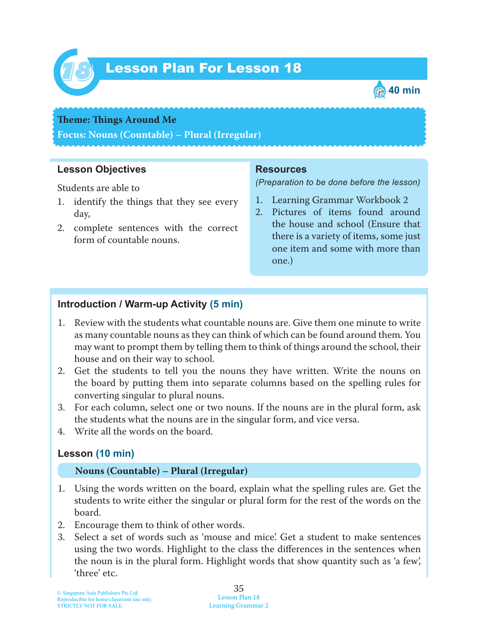

# Lesson Plan For Lesson 18 *18*



#### **Theme: Things Around Me**

**Focus: Nouns (Countable) – Plural (Irregular)**

### **Lesson Objectives**

Students are able to

- 1. identify the things that they see every day,
- 2. complete sentences with the correct form of countable nouns.

#### **Resources**

*(Preparation to be done before the lesson)*

- 1. Learning Grammar Workbook 2
- 2. Pictures of items found around the house and school (Ensure that there is a variety of items, some just one item and some with more than one.)

## **Introduction / Warm-up Activity (5 min)**

- 1. Review with the students what countable nouns are. Give them one minute to write as many countable nouns as they can think of which can be found around them. You may want to prompt them by telling them to think of things around the school, their house and on their way to school.
- 2. Get the students to tell you the nouns they have written. Write the nouns on the board by putting them into separate columns based on the spelling rules for converting singular to plural nouns.
- 3. For each column, select one or two nouns. If the nouns are in the plural form, ask the students what the nouns are in the singular form, and vice versa.
- 4. Write all the words on the board.

## **Lesson (10 min)**

#### **Nouns (Countable) – Plural (Irregular)**

- 1. Using the words written on the board, explain what the spelling rules are. Get the students to write either the singular or plural form for the rest of the words on the board.
- 2. Encourage them to think of other words.
- 3. Select a set of words such as 'mouse and mice'. Get a student to make sentences using the two words. Highlight to the class the differences in the sentences when the noun is in the plural form. Highlight words that show quantity such as 'a few', 'three' etc.